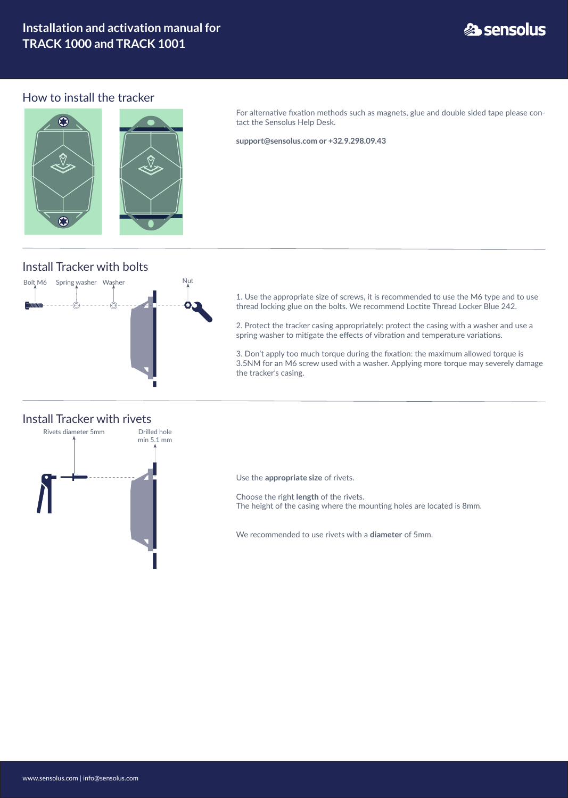www.sensolus.com | info@sensolus.com

## **Installation and activation manual for TRACK 1000 and TRACK 1001**

# **23 sensolus**

#### How to install the tracker

O



For alternative fixation methods such as magnets, glue and double sided tape please contact the Sensolus Help Desk.

**support@sensolus.com or +32.9.298.09.43**

## Install Tracker with bolts



1. Use the appropriate size of screws, it is recommended to use the M6 type and to use thread locking glue on the bolts. We recommend Loctite Thread Locker Blue 242.

2. Protect the tracker casing appropriately: protect the casing with a washer and use a spring washer to mitigate the effects of vibration and temperature variations.

3. Don't apply too much torque during the fixation: the maximum allowed torque is 3.5NM for an M6 screw used with a washer. Applying more torque may severely damage the tracker's casing.



Use the **appropriate size** of rivets.

Choose the right **length** of the rivets. The height of the casing where the mounting holes are located is 8mm.

We recommended to use rivets with a **diameter** of 5mm.

#### Install Tracker with rivets